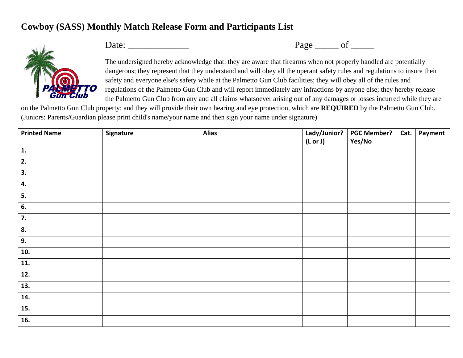## **Cowboy (SASS) Monthly Match Release Form and Participants List**



Date: \_\_\_\_\_\_\_\_\_\_\_\_\_ Page \_\_\_\_\_ of \_\_\_\_\_

The undersigned hereby acknowledge that: they are aware that firearms when not properly handled are potentially dangerous; they represent that they understand and will obey all the operant safety rules and regulations to insure their safety and everyone else's safety while at the Palmetto Gun Club facilities; they will obey all of the rules and regulations of the Palmetto Gun Club and will report immediately any infractions by anyone else; they hereby release the Palmetto Gun Club from any and all claims whatsoever arising out of any damages or losses incurred while they are

on the Palmetto Gun Club property; and they will provide their own hearing and eye protection, which are **REQUIRED** by the Palmetto Gun Club. (Juniors: Parents/Guardian please print child's name/your name and then sign your name under signature)

| <b>Printed Name</b> | Signature | <b>Alias</b> |         | Lady/Junior?   PGC Member? | Cat. | Payment |
|---------------------|-----------|--------------|---------|----------------------------|------|---------|
|                     |           |              | (Lor J) | Yes/No                     |      |         |
| 1.                  |           |              |         |                            |      |         |
| 2.                  |           |              |         |                            |      |         |
| 3.                  |           |              |         |                            |      |         |
| 4.                  |           |              |         |                            |      |         |
| 5.                  |           |              |         |                            |      |         |
| 6.                  |           |              |         |                            |      |         |
| 7.                  |           |              |         |                            |      |         |
| 8.                  |           |              |         |                            |      |         |
| 9.                  |           |              |         |                            |      |         |
| 10.                 |           |              |         |                            |      |         |
| 11.                 |           |              |         |                            |      |         |
| 12.                 |           |              |         |                            |      |         |
| 13.                 |           |              |         |                            |      |         |
| 14.                 |           |              |         |                            |      |         |
| 15.                 |           |              |         |                            |      |         |
| 16.                 |           |              |         |                            |      |         |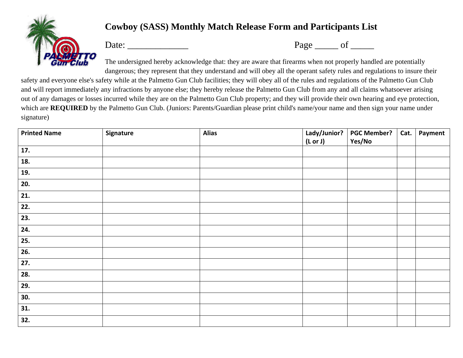

## **Cowboy (SASS) Monthly Match Release Form and Participants List**

Date: \_\_\_\_\_\_\_\_\_\_\_\_\_ Page \_\_\_\_\_ of \_\_\_\_\_

The undersigned hereby acknowledge that: they are aware that firearms when not properly handled are potentially dangerous; they represent that they understand and will obey all the operant safety rules and regulations to insure their

safety and everyone else's safety while at the Palmetto Gun Club facilities; they will obey all of the rules and regulations of the Palmetto Gun Club and will report immediately any infractions by anyone else; they hereby release the Palmetto Gun Club from any and all claims whatsoever arising out of any damages or losses incurred while they are on the Palmetto Gun Club property; and they will provide their own hearing and eye protection, which are **REQUIRED** by the Palmetto Gun Club. (Juniors: Parents/Guardian please print child's name/your name and then sign your name under signature)

| <b>Printed Name</b> | Signature | <b>Alias</b> | Lady/Junior? | <b>PGC Member?</b> | Cat. | Payment |
|---------------------|-----------|--------------|--------------|--------------------|------|---------|
|                     |           |              | (Lor J)      | Yes/No             |      |         |
| 17.                 |           |              |              |                    |      |         |
| 18.                 |           |              |              |                    |      |         |
| 19.                 |           |              |              |                    |      |         |
| 20.                 |           |              |              |                    |      |         |
| $\overline{21}$ .   |           |              |              |                    |      |         |
| $\overline{22.}$    |           |              |              |                    |      |         |
| 23.                 |           |              |              |                    |      |         |
| 24.                 |           |              |              |                    |      |         |
| $\overline{25}$ .   |           |              |              |                    |      |         |
| 26.                 |           |              |              |                    |      |         |
| 27.                 |           |              |              |                    |      |         |
| 28.                 |           |              |              |                    |      |         |
| 29.                 |           |              |              |                    |      |         |
| 30.                 |           |              |              |                    |      |         |
| 31.                 |           |              |              |                    |      |         |
| 32.                 |           |              |              |                    |      |         |